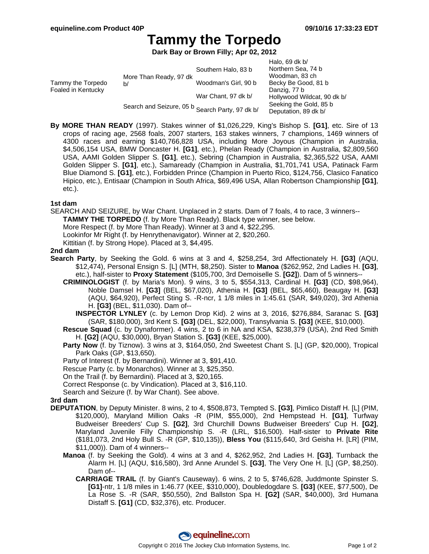# **Tammy the Torpedo**

**Dark Bay or Brown Filly; Apr 02, 2012**

|                                         |                                                 |                      | Halo, 69 dk $b/$            |
|-----------------------------------------|-------------------------------------------------|----------------------|-----------------------------|
| Tammy the Torpedo<br>Foaled in Kentucky | More Than Ready, 97 dk<br>b/                    | Southern Halo, 83 b  | Northern Sea, 74 b          |
|                                         |                                                 |                      | Woodman, 83 ch              |
|                                         |                                                 | Woodman's Girl, 90 b | Becky Be Good, 81 b         |
|                                         |                                                 |                      | Danzig, 77 b                |
|                                         |                                                 | War Chant, 97 dk b/  | Hollywood Wildcat, 90 dk b/ |
|                                         | Search and Seizure, 05 b Search Party, 97 dk b/ |                      | Seeking the Gold, 85 b      |
|                                         |                                                 |                      | Deputation, 89 dk b/        |

**By MORE THAN READY** (1997). Stakes winner of \$1,026,229, King's Bishop S. **[G1]**, etc. Sire of 13 crops of racing age, 2568 foals, 2007 starters, 163 stakes winners, 7 champions, 1469 winners of 4300 races and earning \$140,766,828 USA, including More Joyous (Champion in Australia, \$4,506,154 USA, BMW Doncaster H. **[G1]**, etc.), Phelan Ready (Champion in Australia, \$2,809,560 USA, AAMI Golden Slipper S. **[G1]**, etc.), Sebring (Champion in Australia, \$2,365,522 USA, AAMI Golden Slipper S. **[G1]**, etc.), Samaready (Champion in Australia, \$1,701,741 USA, Patinack Farm Blue Diamond S. **[G1]**, etc.), Forbidden Prince (Champion in Puerto Rico, \$124,756, Clasico Fanatico Hipico, etc.), Entisaar (Champion in South Africa, \$69,496 USA, Allan Robertson Championship **[G1]**, etc.).

### **1st dam**

SEARCH AND SEIZURE, by War Chant. Unplaced in 2 starts. Dam of 7 foals, 4 to race, 3 winners--

**TAMMY THE TORPEDO** (f. by More Than Ready). Black type winner, see below.

More Respect (f. by More Than Ready). Winner at 3 and 4, \$22,295.

Lookinfor Mr Right (f. by Henrythenavigator). Winner at 2, \$20,260.

Kittitian (f. by Strong Hope). Placed at 3, \$4,495.

### **2nd dam**

- **Search Party**, by Seeking the Gold. 6 wins at 3 and 4, \$258,254, 3rd Affectionately H. **[G3]** (AQU, \$12,474), Personal Ensign S. [L] (MTH, \$8,250). Sister to **Manoa** (\$262,952, 2nd Ladies H. **[G3]**, etc.), half-sister to **Proxy Statement** (\$105,700, 3rd Demoiselle S. **[G2]**). Dam of 5 winners--
	- **CRIMINOLOGIST** (f. by Maria's Mon). 9 wins, 3 to 5, \$554,313, Cardinal H. **[G3]** (CD, \$98,964), Noble Damsel H. **[G3]** (BEL, \$67,020), Athenia H. **[G3]** (BEL, \$65,460), Beaugay H. **[G3]** (AQU, \$64,920), Perfect Sting S. -R-ncr, 1 1/8 miles in 1:45.61 (SAR, \$49,020), 3rd Athenia H. **[G3]** (BEL, \$11,030). Dam of--
		- **INSPECTOR LYNLEY** (c. by Lemon Drop Kid). 2 wins at 3, 2016, \$276,884, Saranac S. **[G3]** (SAR, \$180,000), 3rd Kent S. **[G3]** (DEL, \$22,000), Transylvania S. **[G3]** (KEE, \$10,000).
	- **Rescue Squad** (c. by Dynaformer). 4 wins, 2 to 6 in NA and KSA, \$238,379 (USA), 2nd Red Smith H. **[G2]** (AQU, \$30,000), Bryan Station S. **[G3]** (KEE, \$25,000).
	- **Party Now** (f. by Tiznow). 3 wins at 3, \$164,050, 2nd Sweetest Chant S. [L] (GP, \$20,000), Tropical Park Oaks (GP, \$13,650).
	- Party of Interest (f. by Bernardini). Winner at 3, \$91,410.

Rescue Party (c. by Monarchos). Winner at 3, \$25,350.

On the Trail (f. by Bernardini). Placed at 3, \$20,165.

Correct Response (c. by Vindication). Placed at 3, \$16,110.

Search and Seizure (f. by War Chant). See above.

## **3rd dam**

- **DEPUTATION**, by Deputy Minister. 8 wins, 2 to 4, \$508,873, Tempted S. **[G3]**, Pimlico Distaff H. [L] (PIM, \$120,000), Maryland Million Oaks -R (PIM, \$55,000), 2nd Hempstead H. **[G1]**, Turfway Budweiser Breeders' Cup S. **[G2]**, 3rd Churchill Downs Budweiser Breeders' Cup H. **[G2]**, Maryland Juvenile Filly Championship S. -R (LRL, \$16,500). Half-sister to **Private Rite** (\$181,073, 2nd Holy Bull S. -R (GP, \$10,135)), **Bless You** (\$115,640, 3rd Geisha H. [LR] (PIM, \$11,000)). Dam of 4 winners--
	- **Manoa** (f. by Seeking the Gold). 4 wins at 3 and 4, \$262,952, 2nd Ladies H. **[G3]**, Turnback the Alarm H. [L] (AQU, \$16,580), 3rd Anne Arundel S. **[G3]**, The Very One H. [L] (GP, \$8,250). Dam of--
		- **CARRIAGE TRAIL** (f. by Giant's Causeway). 6 wins, 2 to 5, \$746,628, Juddmonte Spinster S. **[G1]**-ntr, 1 1/8 miles in 1:46.77 (KEE, \$310,000), Doubledogdare S. **[G3]** (KEE, \$77,500), De La Rose S. -R (SAR, \$50,550), 2nd Ballston Spa H. **[G2]** (SAR, \$40,000), 3rd Humana Distaff S. **[G1]** (CD, \$32,376), etc. Producer.